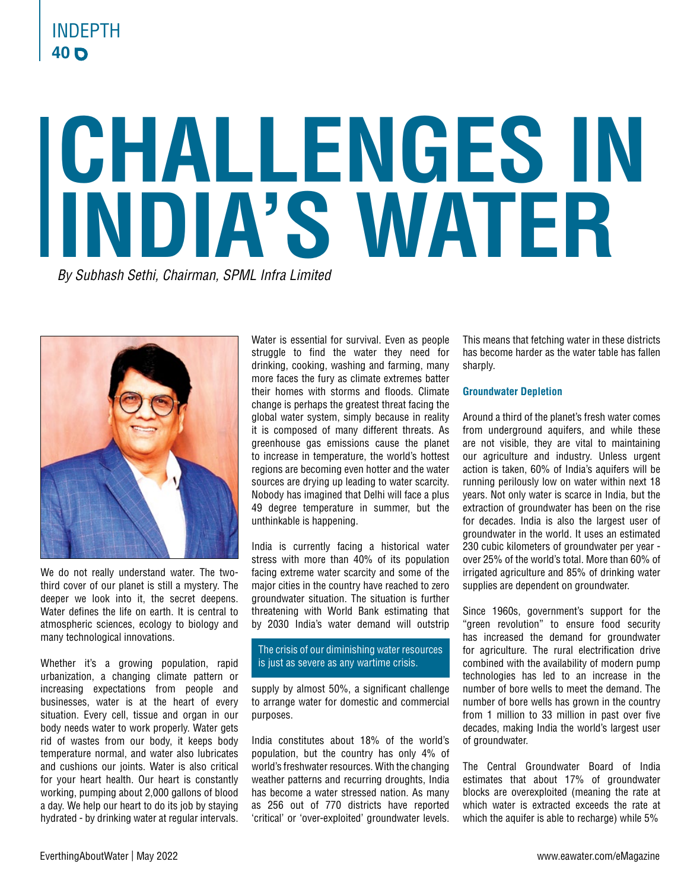# **40** INDEPTH

# **CHALLENGES IN INDIA'S WATER**

*By Subhash Sethi, Chairman, SPML Infra Limited*



We do not really understand water. The twothird cover of our planet is still a mystery. The deeper we look into it, the secret deepens. Water defines the life on earth. It is central to atmospheric sciences, ecology to biology and many technological innovations.

Whether it's a growing population, rapid urbanization, a changing climate pattern or increasing expectations from people and businesses, water is at the heart of every situation. Every cell, tissue and organ in our body needs water to work properly. Water gets rid of wastes from our body, it keeps body temperature normal, and water also lubricates and cushions our joints. Water is also critical for your heart health. Our heart is constantly working, pumping about 2,000 gallons of blood a day. We help our heart to do its job by staying hydrated - by drinking water at regular intervals. Water is essential for survival. Even as people struggle to find the water they need for drinking, cooking, washing and farming, many more faces the fury as climate extremes batter their homes with storms and floods. Climate change is perhaps the greatest threat facing the global water system, simply because in reality it is composed of many different threats. As greenhouse gas emissions cause the planet to increase in temperature, the world's hottest regions are becoming even hotter and the water sources are drying up leading to water scarcity. Nobody has imagined that Delhi will face a plus 49 degree temperature in summer, but the unthinkable is happening.

India is currently facing a historical water stress with more than 40% of its population facing extreme water scarcity and some of the major cities in the country have reached to zero groundwater situation. The situation is further threatening with World Bank estimating that by 2030 India's water demand will outstrip

# The crisis of our diminishing water resources is just as severe as any wartime crisis.

supply by almost 50%, a significant challenge to arrange water for domestic and commercial purposes.

India constitutes about 18% of the world's population, but the country has only 4% of world's freshwater resources. With the changing weather patterns and recurring droughts, India has become a water stressed nation. As many as 256 out of 770 districts have reported 'critical' or 'over-exploited' groundwater levels.

This means that fetching water in these districts has become harder as the water table has fallen sharply.

# **Groundwater Depletion**

Around a third of the planet's fresh water comes from underground aquifers, and while these are not visible, they are vital to maintaining our agriculture and industry. Unless urgent action is taken, 60% of India's aquifers will be running perilously low on water within next 18 years. Not only water is scarce in India, but the extraction of groundwater has been on the rise for decades. India is also the largest user of groundwater in the world. It uses an estimated 230 cubic kilometers of groundwater per year over 25% of the world's total. More than 60% of irrigated agriculture and 85% of drinking water supplies are dependent on groundwater.

Since 1960s, government's support for the "green revolution" to ensure food security has increased the demand for groundwater for agriculture. The rural electrification drive combined with the availability of modern pump technologies has led to an increase in the number of bore wells to meet the demand. The number of bore wells has grown in the country from 1 million to 33 million in past over five decades, making India the world's largest user of groundwater.

The Central Groundwater Board of India estimates that about 17% of groundwater blocks are overexploited (meaning the rate at which water is extracted exceeds the rate at which the aquifer is able to recharge) while 5%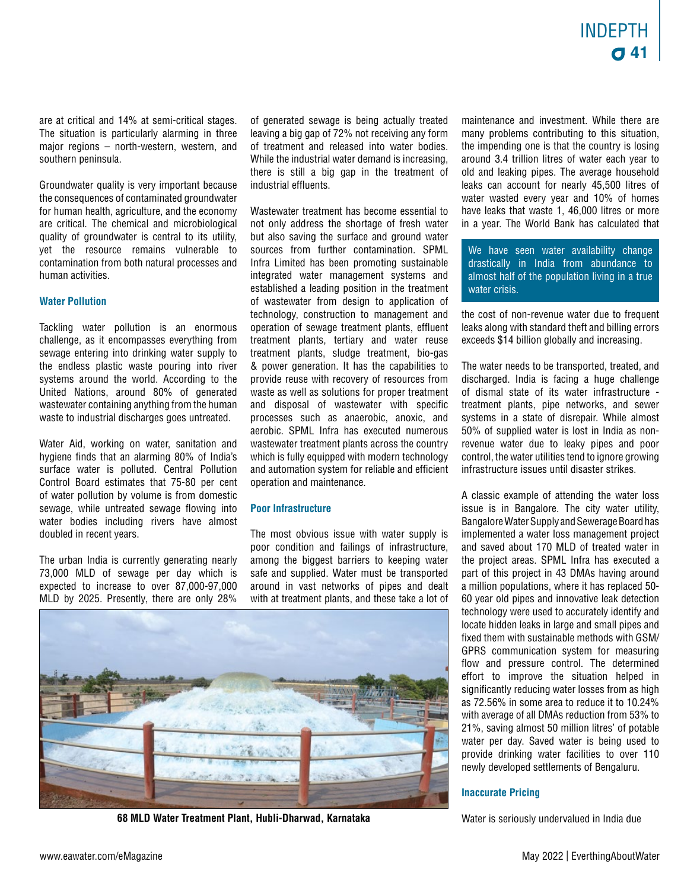are at critical and 14% at semi-critical stages. The situation is particularly alarming in three major regions – north-western, western, and southern peninsula.

Groundwater quality is very important because the consequences of contaminated groundwater for human health, agriculture, and the economy are critical. The chemical and microbiological quality of groundwater is central to its utility, yet the resource remains vulnerable to contamination from both natural processes and human activities.

# **Water Pollution**

Tackling water pollution is an enormous challenge, as it encompasses everything from sewage entering into drinking water supply to the endless plastic waste pouring into river systems around the world. According to the United Nations, around 80% of generated wastewater containing anything from the human waste to industrial discharges goes untreated.

Water Aid, working on water, sanitation and hygiene finds that an alarming 80% of India's surface water is polluted. Central Pollution Control Board estimates that 75-80 per cent of water pollution by volume is from domestic sewage, while untreated sewage flowing into water bodies including rivers have almost doubled in recent years.

The urban India is currently generating nearly 73,000 MLD of sewage per day which is expected to increase to over 87,000-97,000 MLD by 2025. Presently, there are only 28%

of generated sewage is being actually treated leaving a big gap of 72% not receiving any form of treatment and released into water bodies. While the industrial water demand is increasing, there is still a big gap in the treatment of industrial effluents.

Wastewater treatment has become essential to not only address the shortage of fresh water but also saving the surface and ground water sources from further contamination. SPML Infra Limited has been promoting sustainable integrated water management systems and established a leading position in the treatment of wastewater from design to application of technology, construction to management and operation of sewage treatment plants, effluent treatment plants, tertiary and water reuse treatment plants, sludge treatment, bio-gas & power generation. It has the capabilities to provide reuse with recovery of resources from waste as well as solutions for proper treatment and disposal of wastewater with specific processes such as anaerobic, anoxic, and aerobic. SPML Infra has executed numerous wastewater treatment plants across the country which is fully equipped with modern technology and automation system for reliable and efficient operation and maintenance.

#### **Poor Infrastructure**

The most obvious issue with water supply is poor condition and failings of infrastructure, among the biggest barriers to keeping water safe and supplied. Water must be transported around in vast networks of pipes and dealt with at treatment plants, and these take a lot of



**68 MLD Water Treatment Plant, Hubli-Dharwad, Karnataka**

maintenance and investment. While there are many problems contributing to this situation, the impending one is that the country is losing around 3.4 trillion litres of water each year to old and leaking pipes. The average household leaks can account for nearly 45,500 litres of water wasted every year and 10% of homes have leaks that waste 1, 46,000 litres or more in a year. The World Bank has calculated that

We have seen water availability change drastically in India from abundance to almost half of the population living in a true water crisis.

the cost of non-revenue water due to frequent leaks along with standard theft and billing errors exceeds \$14 billion globally and increasing.

The water needs to be transported, treated, and discharged. India is facing a huge challenge of dismal state of its water infrastructure treatment plants, pipe networks, and sewer systems in a state of disrepair. While almost 50% of supplied water is lost in India as nonrevenue water due to leaky pipes and poor control, the water utilities tend to ignore growing infrastructure issues until disaster strikes.

A classic example of attending the water loss issue is in Bangalore. The city water utility, Bangalore Water Supply and Sewerage Board has implemented a water loss management project and saved about 170 MLD of treated water in the project areas. SPML Infra has executed a part of this project in 43 DMAs having around a million populations, where it has replaced 50- 60 year old pipes and innovative leak detection technology were used to accurately identify and locate hidden leaks in large and small pipes and fixed them with sustainable methods with GSM/ GPRS communication system for measuring flow and pressure control. The determined effort to improve the situation helped in significantly reducing water losses from as high as 72.56% in some area to reduce it to 10.24% with average of all DMAs reduction from 53% to 21%, saving almost 50 million litres' of potable water per day. Saved water is being used to provide drinking water facilities to over 110 newly developed settlements of Bengaluru.

# **Inaccurate Pricing**

Water is seriously undervalued in India due